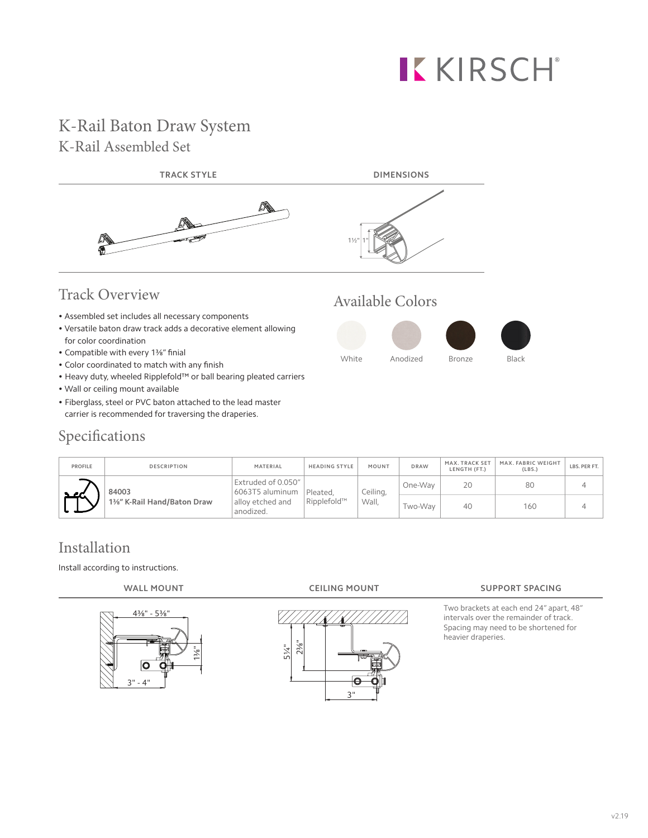# KKIRSCH®

# K-Rail Baton Draw System K-Rail Assembled Set



- Assembled set includes all necessary components
- Versatile baton draw track adds a decorative element allowing for color coordination
- Compatible with every 1⅜" finial
- Color coordinated to match with any finish
- Heavy duty, wheeled Ripplefold™ or ball bearing pleated carriers
- Wall or ceiling mount available
- Fiberglass, steel or PVC baton attached to the lead master carrier is recommended for traversing the draperies.





| Specifications |  |
|----------------|--|
|                |  |

| <b>PROFILE</b> | <b>DESCRIPTION</b>                  | MATERIAL                                                               | <b>HEADING STYLE</b>    | MOUNT             | <b>DRAW</b> | MAX. TRACK SET<br>LENGTH (FT.) | MAX. FABRIC WEIGHT<br>(LBS.) | LBS. PER FT. |
|----------------|-------------------------------------|------------------------------------------------------------------------|-------------------------|-------------------|-------------|--------------------------------|------------------------------|--------------|
| a seri         | 84003<br>1%" K-Rail Hand/Baton Draw | Extruded of 0.050"<br>6063T5 aluminum<br>allov etched and<br>anodized. | Pleated.<br>Ripplefold™ | Ceiling,<br>Wall. | One-Way     | 20                             | 80                           |              |
|                |                                     |                                                                        |                         |                   | Two-Way     | 40                             | 160                          |              |

## Installation

Install according to instructions.





#### **WALL MOUNT CEILING MOUNT SUPPORT SPACING**

Two brackets at each end 24" apart, 48" intervals over the remainder of track. Spacing may need to be shortened for heavier draperies.